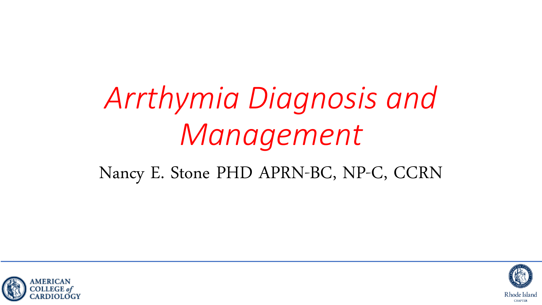# *Arrthymia Diagnosis and Management*

#### Nancy E. Stone PHD APRN-BC, NP-C, CCRN



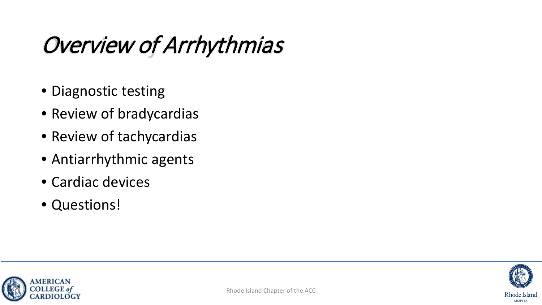## Overview of Arrhythmias

- Diagnostic testing
- Review of bradycardias
- Review of tachycardias
- Antiarrhythmic agents
- Cardiac devices
- Questions!



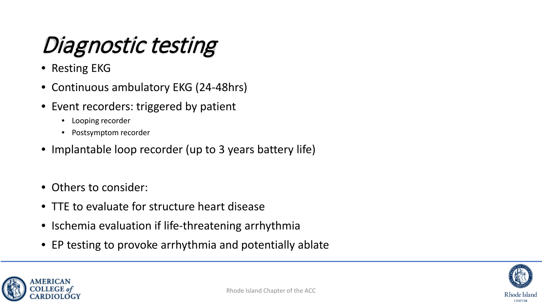## Diagnostic testing

- Resting EKG
- Continuous ambulatory EKG (24-48hrs)
- Event recorders: triggered by patient
	- Looping recorder
	- Postsymptom recorder
- Implantable loop recorder (up to 3 years battery life)
- Others to consider:
- TTE to evaluate for structure heart disease
- Ischemia evaluation if life-threatening arrhythmia
- EP testing to provoke arrhythmia and potentially ablate



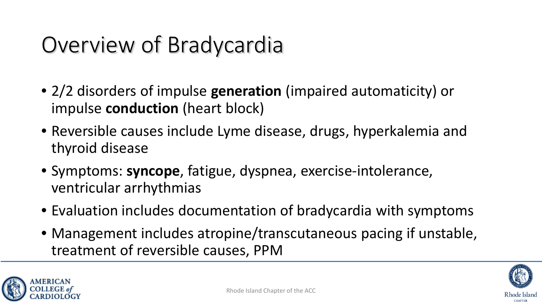## Overview of Bradycardia

- 2/2 disorders of impulse **generation** (impaired automaticity) or impulse **conduction** (heart block)
- Reversible causes include Lyme disease, drugs, hyperkalemia and thyroid disease
- Symptoms: **syncope**, fatigue, dyspnea, exercise-intolerance, ventricular arrhythmias
- Evaluation includes documentation of bradycardia with symptoms
- Management includes atropine/transcutaneous pacing if unstable, treatment of reversible causes, PPM



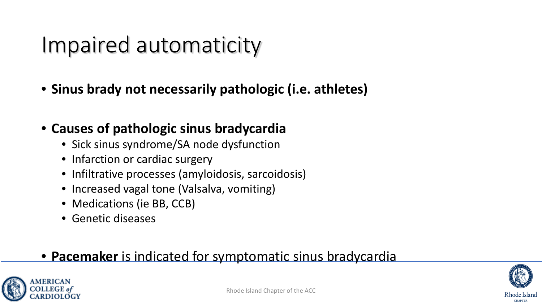#### Impaired automaticity

• **Sinus brady not necessarily pathologic (i.e. athletes)**

#### • **Causes of pathologic sinus bradycardia**

- Sick sinus syndrome/SA node dysfunction
- Infarction or cardiac surgery
- Infiltrative processes (amyloidosis, sarcoidosis)
- Increased vagal tone (Valsalva, vomiting)
- Medications (ie BB, CCB)
- Genetic diseases

#### • **Pacemaker** is indicated for symptomatic sinus bradycardia



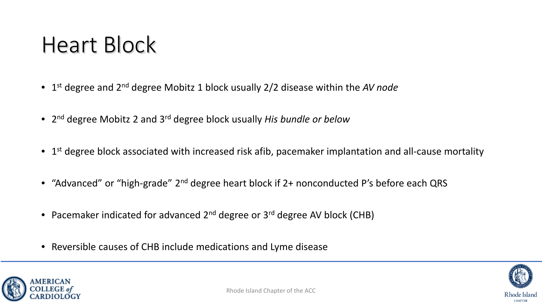#### Heart Block

- 1st degree and 2nd degree Mobitz 1 block usually 2/2 disease within the *AV node*
- 2nd degree Mobitz 2 and 3rd degree block usually *His bundle or below*
- $\bullet$  1<sup>st</sup> degree block associated with increased risk afib, pacemaker implantation and all-cause mortality
- "Advanced" or "high-grade" 2<sup>nd</sup> degree heart block if 2+ nonconducted P's before each QRS
- Pacemaker indicated for advanced 2<sup>nd</sup> degree or 3<sup>rd</sup> degree AV block (CHB)
- Reversible causes of CHB include medications and Lyme disease



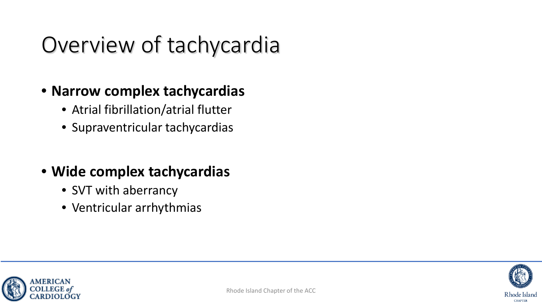## Overview of tachycardia

#### • **Narrow complex tachycardias**

- Atrial fibrillation/atrial flutter
- Supraventricular tachycardias

#### • **Wide complex tachycardias**

- SVT with aberrancy
- Ventricular arrhythmias



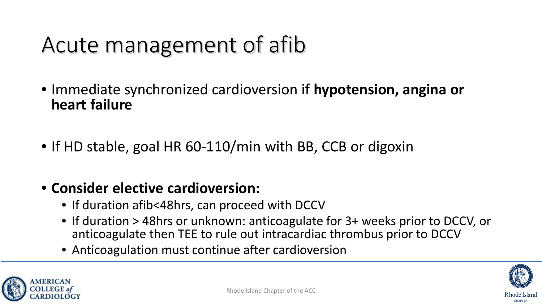## Acute management of afib

- Immediate synchronized cardioversion if **hypotension, angina or heart failure**
- If HD stable, goal HR 60-110/min with BB, CCB or digoxin

#### • **Consider elective cardioversion:**

- If duration afib<48hrs, can proceed with DCCV
- If duration > 48hrs or unknown: anticoagulate for 3+ weeks prior to DCCV, or anticoagulate then TEE to rule out intracardiac thrombus prior to DCCV
- Anticoagulation must continue after cardioversion



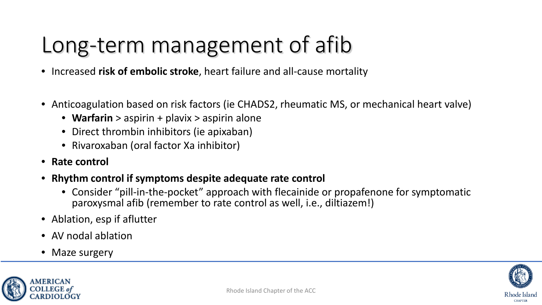## Long-term management of afib

- Increased **risk of embolic stroke**, heart failure and all-cause mortality
- Anticoagulation based on risk factors (ie CHADS2, rheumatic MS, or mechanical heart valve)
	- **Warfarin** > aspirin + plavix > aspirin alone
	- Direct thrombin inhibitors (ie apixaban)
	- Rivaroxaban (oral factor Xa inhibitor)
- **Rate control**
- **Rhythm control if symptoms despite adequate rate control**
	- Consider "pill-in-the-pocket" approach with flecainide or propafenone for symptomatic paroxysmal afib (remember to rate control as well, i.e., diltiazem!)
- Ablation, esp if aflutter
- AV nodal ablation
- Maze surgery

MERICAN



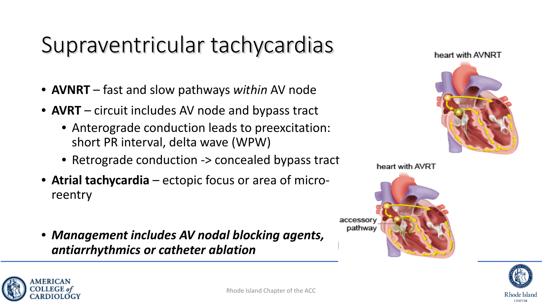## Supraventricular tachycardias

- **AVNRT** fast and slow pathways *within* AV node
- **AVRT** circuit includes AV node and bypass tract
	- Anterograde conduction leads to preexcitation: short PR interval, delta wave (WPW)
	- Retrograde conduction -> concealed bypass tract
- **Atrial tachycardia**  ectopic focus or area of microreentry
- *Management includes AV nodal blocking agents, antiarrhythmics or catheter ablation*







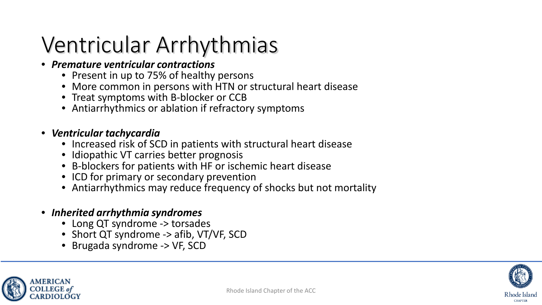#### Ventricular Arrhythmias

#### • *Premature ventricular contractions*

- Present in up to 75% of healthy persons
- More common in persons with HTN or structural heart disease
- Treat symptoms with B-blocker or CCB
- Antiarrhythmics or ablation if refractory symptoms

#### • *Ventricular tachycardia*

- Increased risk of SCD in patients with structural heart disease
- Idiopathic VT carries better prognosis
- B-blockers for patients with HF or ischemic heart disease
- ICD for primary or secondary prevention
- Antiarrhythmics may reduce frequency of shocks but not mortality
- *Inherited arrhythmia syndromes*
	- Long QT syndrome -> torsades
	- Short QT syndrome -> afib, VT/VF, SCD
	- Brugada syndrome -> VF, SCD



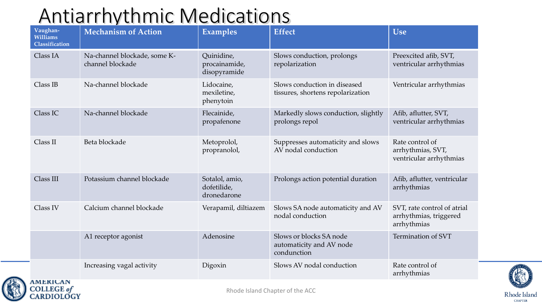#### Antiarrhythmic Medications

| Vaughan-<br><b>Williams</b><br>Classification | <b>Mechanism of Action</b>                       | <b>Examples</b>                              | <b>Effect</b>                                                      | <b>Use</b>                                                           |
|-----------------------------------------------|--------------------------------------------------|----------------------------------------------|--------------------------------------------------------------------|----------------------------------------------------------------------|
| Class IA                                      | Na-channel blockade, some K-<br>channel blockade | Quinidine,<br>procainamide,<br>disopyramide  | Slows conduction, prolongs<br>repolarization                       | Preexcited afib, SVT,<br>ventricular arrhythmias                     |
| Class IB                                      | Na-channel blockade                              | Lidocaine,<br>mexiletine,<br>phenytoin       | Slows conduction in diseased<br>tissures, shortens repolarization  | Ventricular arrhythmias                                              |
| Class IC                                      | Na-channel blockade                              | Flecainide,<br>propafenone                   | Markedly slows conduction, slightly<br>prolongs repol              | Afib, aflutter, SVT,<br>ventricular arrhythmias                      |
| Class II                                      | Beta blockade                                    | Metoprolol,<br>propranolol,                  | Suppresses automaticity and slows<br>AV nodal conduction           | Rate control of<br>arrhythmias, SVT,<br>ventricular arrhythmias      |
| Class III                                     | Potassium channel blockade                       | Sotalol, amio,<br>dofetilide,<br>dronedarone | Prolongs action potential duration                                 | Afib, aflutter, ventricular<br>arrhythmias                           |
| Class IV                                      | Calcium channel blockade                         | Verapamil, diltiazem                         | Slows SA node automaticity and AV<br>nodal conduction              | SVT, rate control of atrial<br>arrhythmias, triggered<br>arrhythmias |
|                                               | A1 receptor agonist                              | Adenosine                                    | Slows or blocks SA node<br>automaticity and AV node<br>condunction | Termination of SVT                                                   |
|                                               | Increasing vagal activity                        | Digoxin                                      | Slows AV nodal conduction                                          | Rate control of<br>arrhythmias                                       |



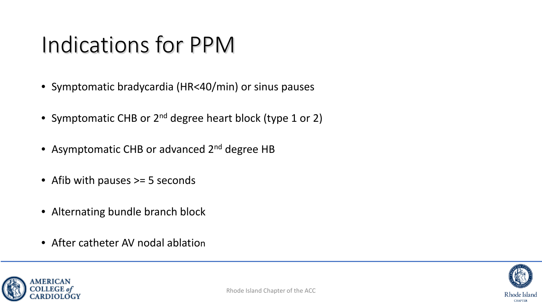### Indications for PPM

- Symptomatic bradycardia (HR<40/min) or sinus pauses
- Symptomatic CHB or 2<sup>nd</sup> degree heart block (type 1 or 2)
- Asymptomatic CHB or advanced 2<sup>nd</sup> degree HB
- Afib with pauses > = 5 seconds
- Alternating bundle branch block
- After catheter AV nodal ablation



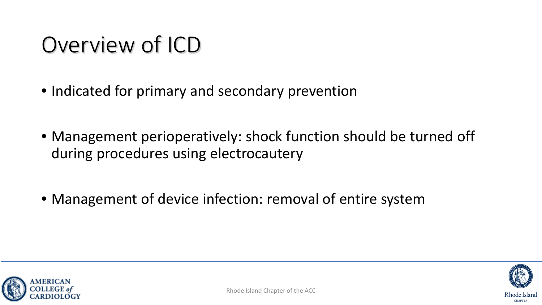## Overview of ICD

- Indicated for primary and secondary prevention
- Management perioperatively: shock function should be turned off during procedures using electrocautery
- Management of device infection: removal of entire system



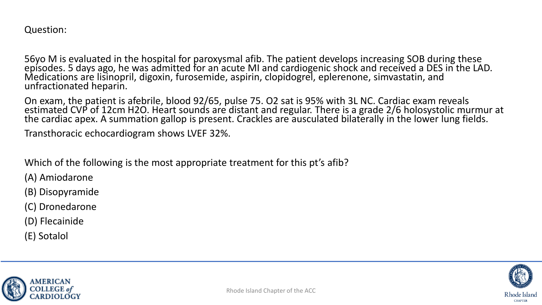Question:

56yo M is evaluated in the hospital for paroxysmal afib. The patient develops increasing SOB during these<br>episodes. 5 days ago, he was admitted for an acute MI and cardiogenic shock and received a DES in the LAD. Medications are lisinopril, digoxin, furosemide, aspirin, clopidogrel, eplerenone, simvastatin, and unfractionated heparin.

On exam, the patient is afebrile, blood 92/65, pulse 75. O2 sat is 95% with 3L NC. Cardiac exam reveals estimated CVP of 12cm H2O. Heart sounds are distant and regular. There is a grade 2/6 holosystolic murmur at the cardiac apex. A summation gallop is present. Crackles are ausculated bilaterally in the lower lung fields.

Transthoracic echocardiogram shows LVEF 32%.

Which of the following is the most appropriate treatment for this pt's afib?

(A) Amiodarone

(B) Disopyramide

(C) Dronedarone

(D) Flecainide

(E) Sotalol